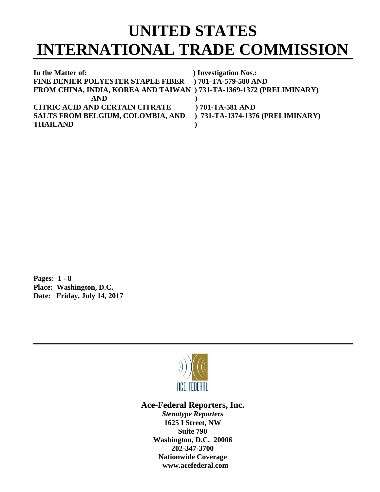## **UNITED STATES INTERNATIONAL TRADE COMMISSION**

| In the Matter of:                                                    | ) Investigation Nos.: |
|----------------------------------------------------------------------|-----------------------|
| <b>FINE DENIER POLYESTER STAPLE FIBER</b>                            | $(701-TA-579-580$ AND |
| FROM CHINA, INDIA, KOREA AND TAIWAN ) 731-TA-1369-1372 (PRELIMINARY) |                       |
| <b>AND</b>                                                           |                       |
| <b>CITRIC ACID AND CERTAIN CITRATE</b>                               | $) 701-TA-581 AND$    |
| SALTS FROM BELGIUM, COLOMBIA, AND ) 731-TA-1374-1376 (PRELIMINARY)   |                       |
| <b>THAILAND</b>                                                      |                       |

**Pages: 1 - 8 Place: Washington, D.C. Date: Friday, July 14, 2017**



## **Ace-Federal Reporters, Inc.**

*Stenotype Reporters* **1625 I Street, NW Suite 790 Washington, D.C. 20006 202-347-3700 Nationwide Coverage www.acefederal.com**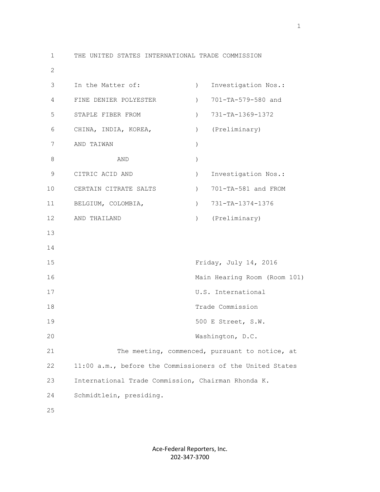1 THE UNITED STATES INTERNATIONAL TRADE COMMISSION 2 3 In the Matter of: ) Investigation Nos.: 4 FINE DENIER POLYESTER ) 701-TA-579-580 and 5 STAPLE FIBER FROM ) 731-TA-1369-1372 6 CHINA, INDIA, KOREA, (Preliminary) 7 AND TAIWAN )  $8$  AND  $)$  9 CITRIC ACID AND ) Investigation Nos.: 10 CERTAIN CITRATE SALTS ) 701-TA-581 and FROM 11 BELGIUM, COLOMBIA, (2008) 731-TA-1374-1376 12 AND THAILAND ) (Preliminary) 13 14 15 Friday, July 14, 2016 16 Main Hearing Room (Room 101) 17 U.S. International 18 Trade Commission 19 500 E Street, S.W. 20 Washington, D.C. 21 The meeting, commenced, pursuant to notice, at 22 11:00 a.m., before the Commissioners of the United States 23 International Trade Commission, Chairman Rhonda K. 24 Schmidtlein, presiding.

> Ace-Federal Reporters, Inc. 202-347-3700

25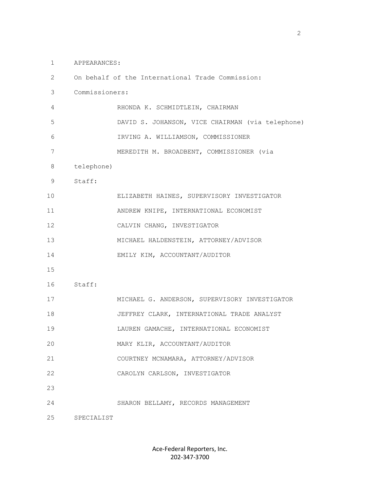1 APPEARANCES:

 2 On behalf of the International Trade Commission: 3 Commissioners: 4 RHONDA K. SCHMIDTLEIN, CHAIRMAN 5 DAVID S. JOHANSON, VICE CHAIRMAN (via telephone) 6 IRVING A. WILLIAMSON, COMMISSIONER 7 MEREDITH M. BROADBENT, COMMISSIONER (via 8 telephone) 9 Staff: 10 ELIZABETH HAINES, SUPERVISORY INVESTIGATOR 11 ANDREW KNIPE, INTERNATIONAL ECONOMIST 12 CALVIN CHANG, INVESTIGATOR 13 MICHAEL HALDENSTEIN, ATTORNEY/ADVISOR 14 EMILY KIM, ACCOUNTANT/AUDITOR 15 16 Staff: 17 MICHAEL G. ANDERSON, SUPERVISORY INVESTIGATOR 18 JEFFREY CLARK, INTERNATIONAL TRADE ANALYST 19 LAUREN GAMACHE, INTERNATIONAL ECONOMIST 20 MARY KLIR, ACCOUNTANT/AUDITOR 21 COURTNEY MCNAMARA, ATTORNEY/ADVISOR 22 CAROLYN CARLSON, INVESTIGATOR 23 24 SHARON BELLAMY, RECORDS MANAGEMENT 25 SPECIALIST

> Ace-Federal Reporters, Inc. 202-347-3700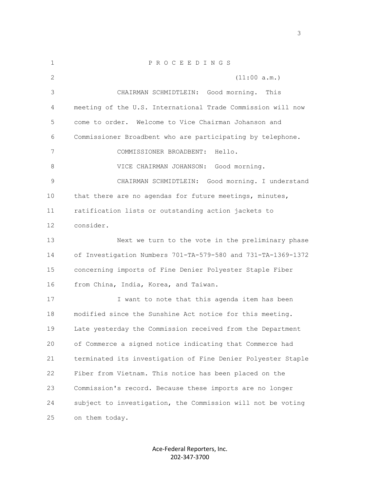| $\mathbf 1$ | PROCEEDINGS                                                  |
|-------------|--------------------------------------------------------------|
| 2           | (11:00 a.m.)                                                 |
| 3           | CHAIRMAN SCHMIDTLEIN: Good morning.<br>This                  |
| 4           | meeting of the U.S. International Trade Commission will now  |
| 5           | Welcome to Vice Chairman Johanson and<br>come to order.      |
| 6           | Commissioner Broadbent who are participating by telephone.   |
| 7           | COMMISSIONER BROADBENT:<br>Hello.                            |
| 8           | VICE CHAIRMAN JOHANSON: Good morning.                        |
| 9           | CHAIRMAN SCHMIDTLEIN: Good morning. I understand             |
| 10          | that there are no agendas for future meetings, minutes,      |
| 11          | ratification lists or outstanding action jackets to          |
| 12          | consider.                                                    |
| 13          | Next we turn to the vote in the preliminary phase            |
| 14          | of Investigation Numbers 701-TA-579-580 and 731-TA-1369-1372 |
| 15          | concerning imports of Fine Denier Polyester Staple Fiber     |
| 16          | from China, India, Korea, and Taiwan.                        |
| 17          | I want to note that this agenda item has been                |
| 18          | modified since the Sunshine Act notice for this meeting.     |
| 19          | Late yesterday the Commission received from the Department   |
| 20          | of Commerce a signed notice indicating that Commerce had     |
| 21          | terminated its investigation of Fine Denier Polyester Staple |
| 22          | Fiber from Vietnam. This notice has been placed on the       |
| 23          | Commission's record. Because these imports are no longer     |
| 24          | subject to investigation, the Commission will not be voting  |
| 25          | on them today.                                               |

Ace-Federal Reporters, Inc. 202-347-3700

 $\sim$  3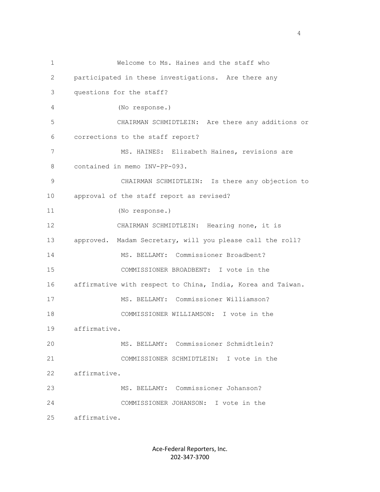| $\mathbf{1}$ | Welcome to Ms. Haines and the staff who                     |
|--------------|-------------------------------------------------------------|
| 2            | participated in these investigations. Are there any         |
| 3            | questions for the staff?                                    |
| 4            | (No response.)                                              |
| 5            | CHAIRMAN SCHMIDTLEIN: Are there any additions or            |
| 6            | corrections to the staff report?                            |
| 7            | MS. HAINES: Elizabeth Haines, revisions are                 |
| 8            | contained in memo INV-PP-093.                               |
| 9            | CHAIRMAN SCHMIDTLEIN: Is there any objection to             |
| 10           | approval of the staff report as revised?                    |
| 11           | (No response.)                                              |
| 12           | CHAIRMAN SCHMIDTLEIN: Hearing none, it is                   |
| 13           | approved. Madam Secretary, will you please call the roll?   |
| 14           | MS. BELLAMY: Commissioner Broadbent?                        |
| 15           | COMMISSIONER BROADBENT: I vote in the                       |
| 16           | affirmative with respect to China, India, Korea and Taiwan. |
| 17           | MS. BELLAMY: Commissioner Williamson?                       |
| 18           | COMMISSIONER WILLIAMSON: I vote in the                      |
| 19           | affirmative.                                                |
| 20           | MS. BELLAMY: Commissioner Schmidtlein?                      |
| 21           | COMMISSIONER SCHMIDTLEIN: I vote in the                     |
| 22           | affirmative.                                                |
| 23           | MS. BELLAMY: Commissioner Johanson?                         |
| 24           | COMMISSIONER JOHANSON: I vote in the                        |
| 25           | affirmative.                                                |

Ace-Federal Reporters, Inc. 202-347-3700

4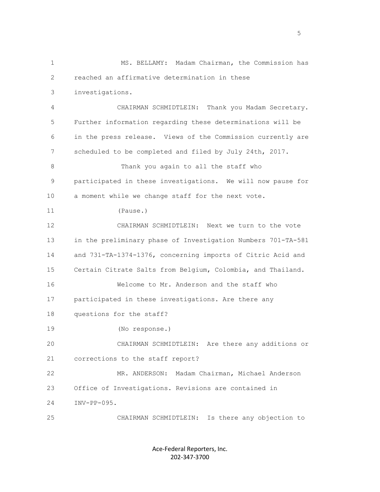1 MS. BELLAMY: Madam Chairman, the Commission has 2 reached an affirmative determination in these 3 investigations. 4 CHAIRMAN SCHMIDTLEIN: Thank you Madam Secretary. 5 Further information regarding these determinations will be 6 in the press release. Views of the Commission currently are 7 scheduled to be completed and filed by July 24th, 2017. 8 Thank you again to all the staff who 9 participated in these investigations. We will now pause for 10 a moment while we change staff for the next vote. 11 (Pause.) 12 CHAIRMAN SCHMIDTLEIN: Next we turn to the vote 13 in the preliminary phase of Investigation Numbers 701-TA-581 14 and 731-TA-1374-1376, concerning imports of Citric Acid and 15 Certain Citrate Salts from Belgium, Colombia, and Thailand. 16 Welcome to Mr. Anderson and the staff who 17 participated in these investigations. Are there any 18 questions for the staff? 19 (No response.) 20 CHAIRMAN SCHMIDTLEIN: Are there any additions or 21 corrections to the staff report? 22 MR. ANDERSON: Madam Chairman, Michael Anderson 23 Office of Investigations. Revisions are contained in 24 INV-PP-095. 25 CHAIRMAN SCHMIDTLEIN: Is there any objection to

> Ace-Federal Reporters, Inc. 202-347-3700

 $\sim$  5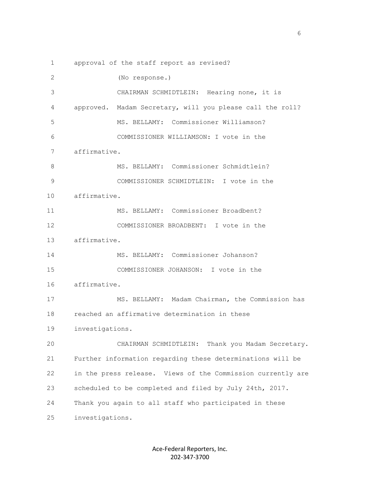1 approval of the staff report as revised? 2 (No response.) 3 CHAIRMAN SCHMIDTLEIN: Hearing none, it is 4 approved. Madam Secretary, will you please call the roll? 5 MS. BELLAMY: Commissioner Williamson? 6 COMMISSIONER WILLIAMSON: I vote in the 7 affirmative. 8 MS. BELLAMY: Commissioner Schmidtlein? 9 COMMISSIONER SCHMIDTLEIN: I vote in the 10 affirmative. 11 MS. BELLAMY: Commissioner Broadbent? 12 COMMISSIONER BROADBENT: I vote in the 13 affirmative. 14 MS. BELLAMY: Commissioner Johanson? 15 COMMISSIONER JOHANSON: I vote in the 16 affirmative. 17 MS. BELLAMY: Madam Chairman, the Commission has 18 reached an affirmative determination in these 19 investigations. 20 CHAIRMAN SCHMIDTLEIN: Thank you Madam Secretary. 21 Further information regarding these determinations will be 22 in the press release. Views of the Commission currently are 23 scheduled to be completed and filed by July 24th, 2017. 24 Thank you again to all staff who participated in these 25 investigations.

> Ace-Federal Reporters, Inc. 202-347-3700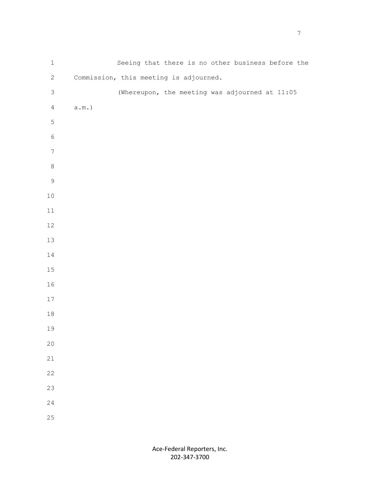| $\ensuremath{\mathbbm{1}}$ |                                        |  |  | Seeing that there is no other business before the |  |
|----------------------------|----------------------------------------|--|--|---------------------------------------------------|--|
| $\mathbf{2}$               | Commission, this meeting is adjourned. |  |  |                                                   |  |
| $\mathfrak{Z}$             |                                        |  |  | (Whereupon, the meeting was adjourned at 11:05    |  |
| $\overline{4}$             | $\texttt{a.m.})$                       |  |  |                                                   |  |
| 5                          |                                        |  |  |                                                   |  |
| $\epsilon$                 |                                        |  |  |                                                   |  |
| $\boldsymbol{7}$           |                                        |  |  |                                                   |  |
| $\,8\,$                    |                                        |  |  |                                                   |  |
| $\mathsf 9$                |                                        |  |  |                                                   |  |
| $10\,$                     |                                        |  |  |                                                   |  |
| $11\,$                     |                                        |  |  |                                                   |  |
| $12\,$                     |                                        |  |  |                                                   |  |
| $13\,$                     |                                        |  |  |                                                   |  |
| $14\,$                     |                                        |  |  |                                                   |  |
| $15\,$                     |                                        |  |  |                                                   |  |
| $16\,$                     |                                        |  |  |                                                   |  |
| $17\,$                     |                                        |  |  |                                                   |  |
| $1\,8$                     |                                        |  |  |                                                   |  |
| 19                         |                                        |  |  |                                                   |  |
| $20$                       |                                        |  |  |                                                   |  |
| $21\,$                     |                                        |  |  |                                                   |  |
| $2\sqrt{2}$                |                                        |  |  |                                                   |  |
| 23                         |                                        |  |  |                                                   |  |
| 24                         |                                        |  |  |                                                   |  |
| 25                         |                                        |  |  |                                                   |  |